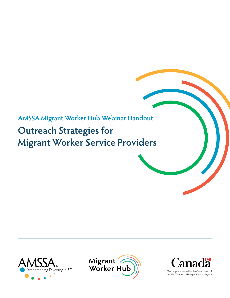## **AMSSA Migrant Worker Hub Webinar Handout:**

# **Outreach Strategies for Migrant Worker Service Providers**







Canada's Temporary Foreign Worker Program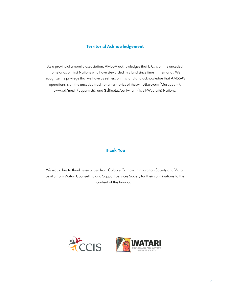### **Territorial Acknowledgement**

As a provincial umbrella association, AMSSA acknowledges that B.C. is on the unceded homelands of First Nations who have stewarded this land since time immemorial. We recognize the privilege that we have as settlers on this land and acknowledge that AMSSA's operations is on the unceded traditional territories of the xwma0kway' am (Musqueam), Skwxwú7mesh (Squamish), and **Səİílwətaʔ**/Selilwitulh (Tsleil-Waututh) Nations.

### **Thank You**

We would like to thank Jessica Juen from Calgary Catholic Immigration Society and Victor Sevilla from Watari Counselling and Support Services Society for their contributions to the content of this handout.

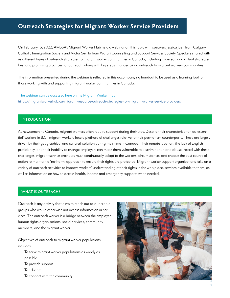### **Outreach Strategies for Migrant Worker Service Providers**

On February 16, 2022, AMSSA's Migrant Worker Hub held a webinar on this topic with speakers Jessica Juen from Calgary Catholic Immigration Society and Victor Sevilla from Watari Counselling and Support Services Society. Speakers shared with us different types of outreach strategies to migrant worker communities in Canada, including in-person and virtual strategies, best and promising practices for outreach, along with key steps in undertaking outreach to migrant workers communities.

The information presented during the webinar is reflected in this accompanying handout to be used as a learning tool for those working with and supporting migrant worker communities in Canada.

 The webinar can be accessed here on the Migrant Worker Hub: [https://migrantworkerhub.ca/migrant-resource/outreach-strategies-for-migrant-worker-service-providers](https://migrantworkerhub.ca/migrant-resource/outreach-strategies-for-migrant-worker-service-provider)

### **INTRODUCTION**

As newcomers to Canada, migrant workers often require support during their stay. Despite their characterization as 'essential' workers in B.C., migrant workers face a plethora of challenges relative to their permanent counterparts. These are largely driven by their geographical and cultural isolation during their time in Canada. Their remote location, the lack of English proficiency, and their inability to change employers can make them vulnerable to discrimination and abuse. Faced with these challenges, migrant service providers must continuously adapt to the workers' circumstances and choose the best course of action to maintain a 'no-harm' approach to ensure their rights are protected. Migrant worker support organizations take on a variety of outreach activities to improve workers' understanding of their rights in the workplace, services available to them, as well as information on how to access health, income and emergency supports when needed.

### **WHAT IS OUTREACH?**

Outreach is any activity that aims to reach out to vulnerable groups who would otherwise not access information or services. The outreach worker is a bridge between the employer, human rights organisations, social services, community members, and the migrant worker.

Objectives of outreach to migrant worker populations includes:

- To serve migrant worker populations as widely as possible.
- To provide support.
- To educate.
- To connect with the community.

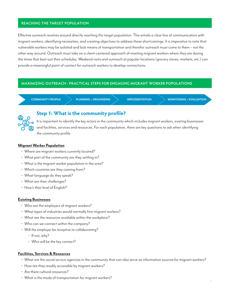### **REACHING THE TARGET POPULATION**

Effective outreach revolves around directly reaching the target population. This entails a clear line of communication with migrant workers, identifying necessities, and creating objectives to address these shortcomings. It is imperative to note that vulnerable workers may be isolated and lack means of transportation and therefor outreach must come to them – not the other way around. Outreach must take on a client-centered approach of meeting migrant workers where they are during the times that best suit their schedules. Weekend visits and outreach at popular locations (grocery stores, markets, etc.) can provide a meaningful point of contact for outreach workers to develop connections.

### **MAXIMIZING OUTREACH - PRACTICAL STEPS FOR ENGAGING MIGRANT WORKER POPULATIONS**

**COMMUNITY PROFILE PLANNING + ORGANIZING IMPLEMENTATION MONITORING + EVALUATION**



### **Step 1: What is the community profile?**

It is important to identify the key actors in the community which includes migrant workers, existing businesses and facilities, services and resources. For each population, there are key questions to ask when identifying the community profile.

### **Migrant Worker Population**

- Where are migrant workers currently located?
- What part of the community are they settling in?
- What is the migrant worker population in the area?
- Which countries are they coming from?
- What language do they speak?
- What are their challenges?
- How's their level of English?

### **Existing Businesses**

- Who are the employers of migrant workers?
- What types of industries would normally hire migrant workers?
- What are the resources available within the workplace?
- Who can we connect within the company?
- Will the employer be receptive to collaborating?
	- If not, why?
	- Who will be the key contact?

### **Facilities, Services & Resources**

- What are the social service agencies in the community that can also serve as information sources for migrant workers?
- How are they readily accessible by migrant workers?
- Are there cultural resources?
- What is the mode of transportation for migrant workers?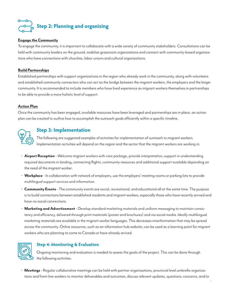# **Step 2: Planning and organizing**

### **Engage the Community**

To engage the community, it is important to collaborate with a wide variety of community stakeholders. Consultations can be held with community leaders on the ground, mobilize grassroots organizations and connect with community-based organizations who have connections with churches, labor unions and cultural organizations.

### **Build Partnerships**

Established partnerships with support organizations in the region who already work in the community, along with volunteers and established community connectors who can act as the bridge between the migrant workers, the employers and the larger community. It is recommended to include members who have lived experience as migrant workers themselves in partnerships to be able to provide a more holistic level of support.

### **Action Plan**

Once the community has been engaged, available resources have been leveraged and partnerships are in place, an action plan can be created to outline how to accomplish the outreach goals efficiently within a specific timeline.



### **Step 3: Implementation**

The following are suggested examples of activities for implementation of outreach to migrant workers. Implementation activities will depend on the region and the sector that the migrant workers are working in.

- **Airport Reception** Welcome migrant workers with care package, provide interpretation, support in understanding required documents in landing, connecting flights, community resources and additional support available depending on the need of the migrant worker.
- **Workplace** In collaboration with network of employers, use the employers' meeting rooms or parking lots to provide multilingual support services and information.
- **Community Events**  The community events are social, recreational, and educational all at the same time. The purpose is to build connections between established residents and migrant workers, especially those who have recently arrived and have no social connections.
- **Marketing and Advertisement** Develop standard marketing materials and uniform messaging to maintain consistency and efficiency, delivered through print materials (poster and brochures) and via social media. Ideally multilingual marketing materials are available in the migrant worker languages. This decreases misinformation that may be spread across the community. Online resources, such as an information hub website, can be used as a learning point for migrant workers who are planning to come to Canada or have already arrived.



### **Step 4: Monitoring & Evaluation**

Ongoing monitoring and evaluation is needed to assess the goals of the project. This can be done through the following activities.

• **Meetings** - Regular collaborative meetings can be held with partner organizations, provincial level umbrella organizations and front-line workers to monitor deliverables and outcomes, discuss relevant updates, questions, concerns, and/or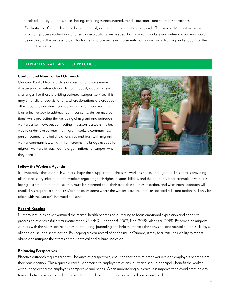feedback, policy updates, case sharing, challenges encountered, trends, outcomes and share best practices.

• **Evaluations** - Outreach should be continuously evaluated to ensure its quality and effectiveness. Migrant worker satisfaction, process evaluations and regular evaluations are needed. Both migrant workers and outreach workers should be involved in the process to plan for further improvements in implementation, as well as in training and support for the outreach workers.

### **OUTREACH STRATEGIES - BEST PRACTICES**

### **Contact and Non-Contact Outreach**

Ongoing Public Health Orders and restrictions have made it necessary for outreach work to continuously adapt to new challenges. For those providing outreach support services, this may entail distanced-visitations, where donations are droppedoff without making direct contact with migrant workers. This is an effective way to address health concerns, deliver medications, while protecting the wellbeing of migrant and outreach workers alike. However, connecting in person is always the best way to undertake outreach to migrant workers communities. In person connections build relationships and trust with migrant worker communities, which in turn creates the bridge needed for migrant workers to reach out to organizations for support when they need it.



#### **Follow the Worker's Agenda**

It is imperative that outreach workers shape their support to address the worker's needs and agenda. This entails providing all the necessary information for workers regarding their rights, responsibilities, and their options. If, for example, a worker is facing discrimination or abuse, they must be informed of all their available courses of action, and what each approach will entail. This requires a careful risk/benefit assessment where the worker is aware of the associated risks and actions will only be taken with the worker's informed consent.

### **Record-Keeping**

Numerous studies have examined the mental health benefits of journaling to focus emotional expression and cognitive processing of a stressful or traumatic event (Ullrich & Lutgendorf, 2002; Negi 2013; Niles et al, 2013). By providing migrant workers with the necessary resources and training, journaling can help them track their physical and mental health, sick days, alleged abuse, or discrimination. By keeping a clear record of one's time in Canada, it may facilitate their ability to report abuse and mitigate the effects of their physical and cultural isolation.

### **Balancing Perspectives**

Effective outreach requires a careful balance of perspectives, ensuring that both migrant workers and employers benefit from their participation. This requires a careful approach to employer relations, outreach should principally benefit the worker, without neglecting the employer's perspective and needs. When undertaking outreach, it is imperative to avoid creating any tension between workers and employers through clear communication with all parties involved.